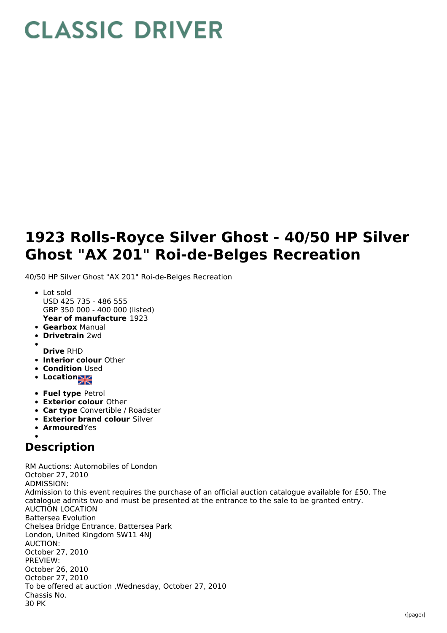## **CLASSIC DRIVER**

## **1923 Rolls-Royce Silver Ghost - 40/50 HP Silver Ghost "AX 201" Roi-de-Belges Recreation**

40/50 HP Silver Ghost "AX 201" Roi-de-Belges Recreation

- **Year of manufacture** 1923 Lot sold USD 425 735 - 486 555 GBP 350 000 - 400 000 (listed)
- **Gearbox** Manual
- **Drivetrain** 2wd
- **Drive** RHD
- **Interior colour** Other
- **Condition Used**
- Location<sub>2</sub>
- **Fuel type** Petrol
- **Exterior colour** Other
- **Car type** Convertible / Roadster
- **Exterior brand colour** Silver
- **Armoured**Yes

## **Description**

RM Auctions: Automobiles of London October 27, 2010 ADMISSION: Admission to this event requires the purchase of an official auction catalogue available for £50. The catalogue admits two and must be presented at the entrance to the sale to be granted entry. AUCTION LOCATION Battersea Evolution Chelsea Bridge Entrance, Battersea Park London, United Kingdom SW11 4NJ AUCTION: October 27, 2010 PREVIEW: October 26, 2010 October 27, 2010 To be offered at auction ,Wednesday, October 27, 2010 Chassis No. 30 PK